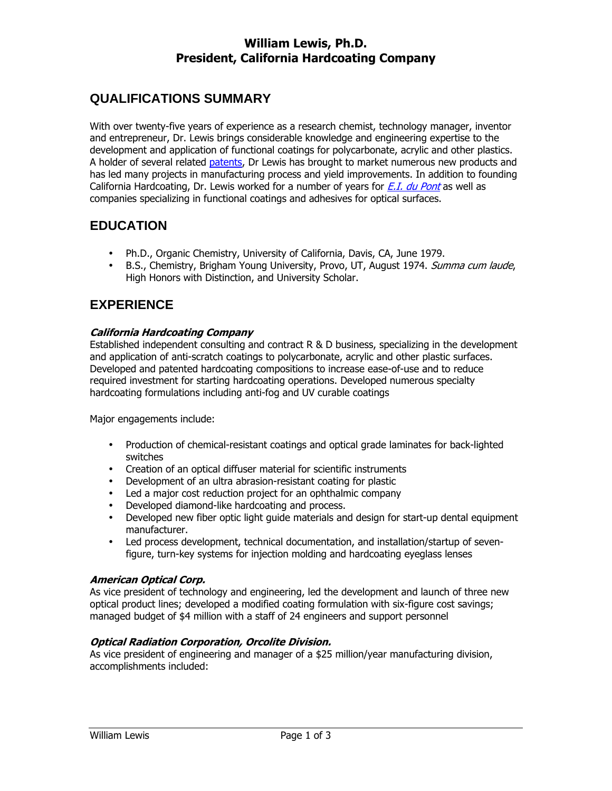## William Lewis, Ph.D. President, California Hardcoating Company

# **QUALIFICATIONS SUMMARY**

With over twenty-five years of experience as a research chemist, technology manager, inventor and entrepreneur, Dr. Lewis brings considerable knowledge and engineering expertise to the development and application of functional coatings for polycarbonate, acrylic and other plastics. A holder of several related patents, Dr Lewis has brought to market numerous new products and has led many projects in manufacturing process and yield improvements. In addition to founding California Hardcoating, Dr. Lewis worked for a number of years for  $E.I.$  du Pont as well as companies specializing in functional coatings and adhesives for optical surfaces.

# **EDUCATION**

- Ph.D., Organic Chemistry, University of California, Davis, CA, June 1979.
- B.S., Chemistry, Brigham Young University, Provo, UT, August 1974. Summa cum laude, High Honors with Distinction, and University Scholar.

# **EXPERIENCE**

### California Hardcoating Company

Established independent consulting and contract R & D business, specializing in the development and application of anti-scratch coatings to polycarbonate, acrylic and other plastic surfaces. Developed and patented hardcoating compositions to increase ease-of-use and to reduce required investment for starting hardcoating operations. Developed numerous specialty hardcoating formulations including anti-fog and UV curable coatings

Major engagements include:

- Production of chemical-resistant coatings and optical grade laminates for back-lighted switches
- Creation of an optical diffuser material for scientific instruments
- Development of an ultra abrasion-resistant coating for plastic
- Led a major cost reduction project for an ophthalmic company
- Developed diamond-like hardcoating and process.
- Developed new fiber optic light guide materials and design for start-up dental equipment manufacturer.
- Led process development, technical documentation, and installation/startup of sevenfigure, turn-key systems for injection molding and hardcoating eyeglass lenses

### American Optical Corp.

As vice president of technology and engineering, led the development and launch of three new optical product lines; developed a modified coating formulation with six-figure cost savings; managed budget of \$4 million with a staff of 24 engineers and support personnel

### Optical Radiation Corporation, Orcolite Division.

As vice president of engineering and manager of a \$25 million/year manufacturing division, accomplishments included: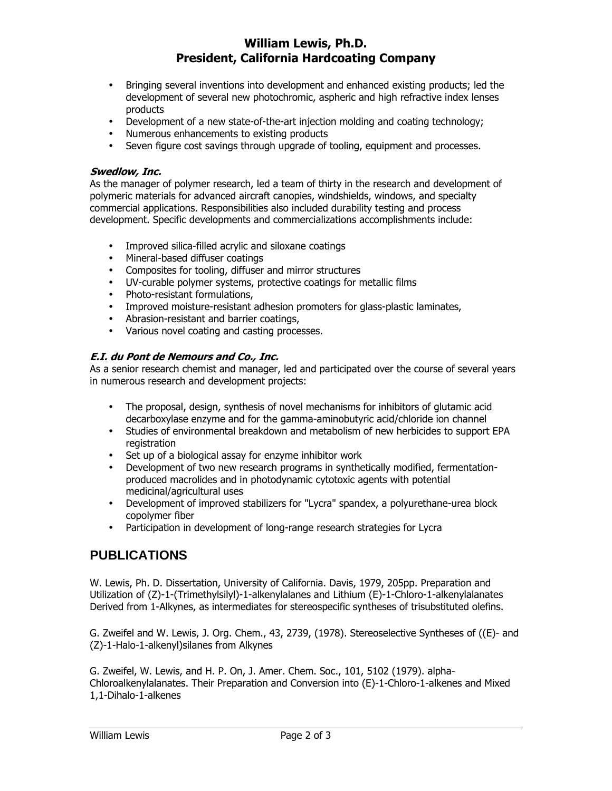## William Lewis, Ph.D. President, California Hardcoating Company

- Bringing several inventions into development and enhanced existing products; led the development of several new photochromic, aspheric and high refractive index lenses products
- Development of a new state-of-the-art injection molding and coating technology;
- Numerous enhancements to existing products
- Seven figure cost savings through upgrade of tooling, equipment and processes.

#### Swedlow, Inc.

As the manager of polymer research, led a team of thirty in the research and development of polymeric materials for advanced aircraft canopies, windshields, windows, and specialty commercial applications. Responsibilities also included durability testing and process development. Specific developments and commercializations accomplishments include:

- Improved silica-filled acrylic and siloxane coatings
- Mineral-based diffuser coatings
- Composites for tooling, diffuser and mirror structures
- UV-curable polymer systems, protective coatings for metallic films
- Photo-resistant formulations,
- Improved moisture-resistant adhesion promoters for glass-plastic laminates,
- Abrasion-resistant and barrier coatings,
- Various novel coating and casting processes.

#### E.I. du Pont de Nemours and Co., Inc.

As a senior research chemist and manager, led and participated over the course of several years in numerous research and development projects:

- The proposal, design, synthesis of novel mechanisms for inhibitors of glutamic acid decarboxylase enzyme and for the gamma-aminobutyric acid/chloride ion channel
- Studies of environmental breakdown and metabolism of new herbicides to support EPA registration
- Set up of a biological assay for enzyme inhibitor work
- Development of two new research programs in synthetically modified, fermentationproduced macrolides and in photodynamic cytotoxic agents with potential medicinal/agricultural uses
- Development of improved stabilizers for "Lycra" spandex, a polyurethane-urea block copolymer fiber
- Participation in development of long-range research strategies for Lycra

## **PUBLICATIONS**

W. Lewis, Ph. D. Dissertation, University of California. Davis, 1979, 205pp. Preparation and Utilization of (Z)-1-(Trimethylsilyl)-1-alkenylalanes and Lithium (E)-1-Chloro-1-alkenylalanates Derived from 1-Alkynes, as intermediates for stereospecific syntheses of trisubstituted olefins.

G. Zweifel and W. Lewis, J. Org. Chem., 43, 2739, (1978). Stereoselective Syntheses of ((E)- and (Z)-1-Halo-1-alkenyl)silanes from Alkynes

G. Zweifel, W. Lewis, and H. P. On, J. Amer. Chem. Soc., 101, 5102 (1979). alpha-Chloroalkenylalanates. Their Preparation and Conversion into (E)-1-Chloro-1-alkenes and Mixed 1,1-Dihalo-1-alkenes